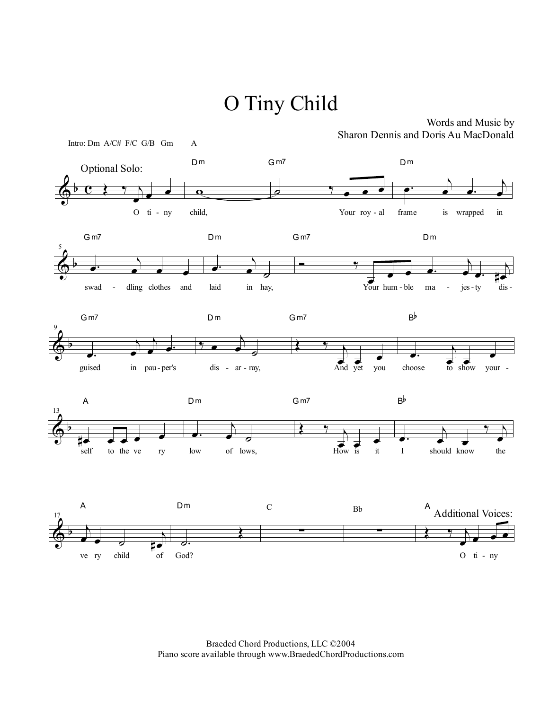## O Tiny Child



Words and Music by Sharon Dennis and Doris Au MacDonald

Braeded Chord Productions, LLC ©2004 Piano score available through www.BraededChordProductions.com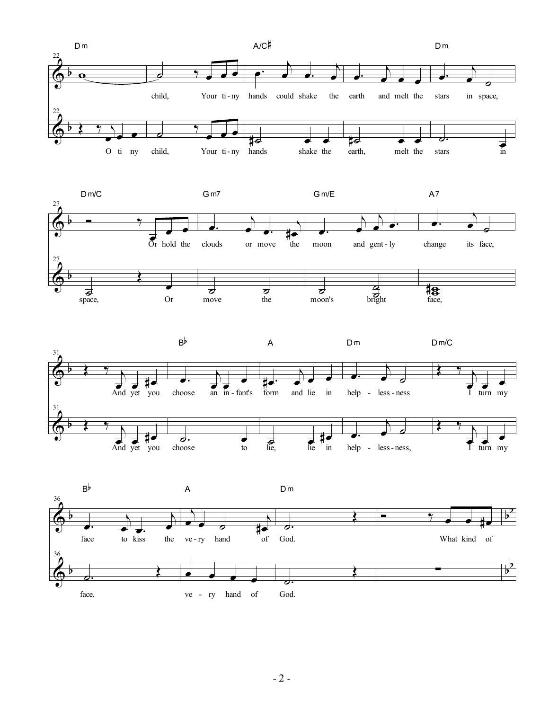





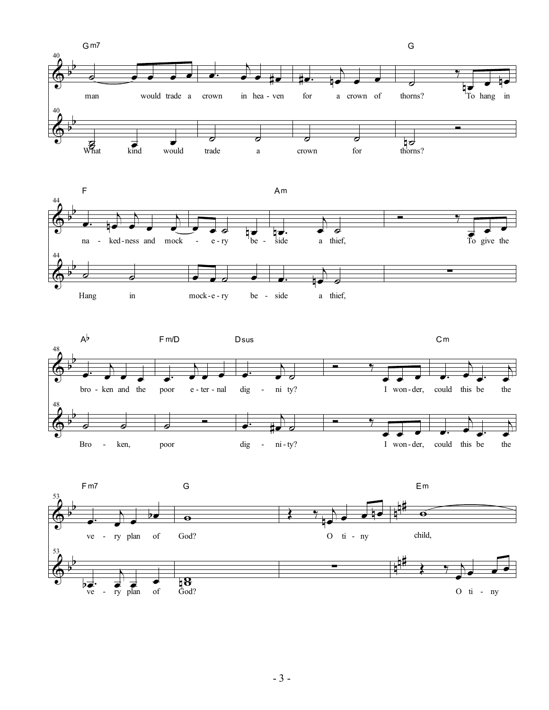